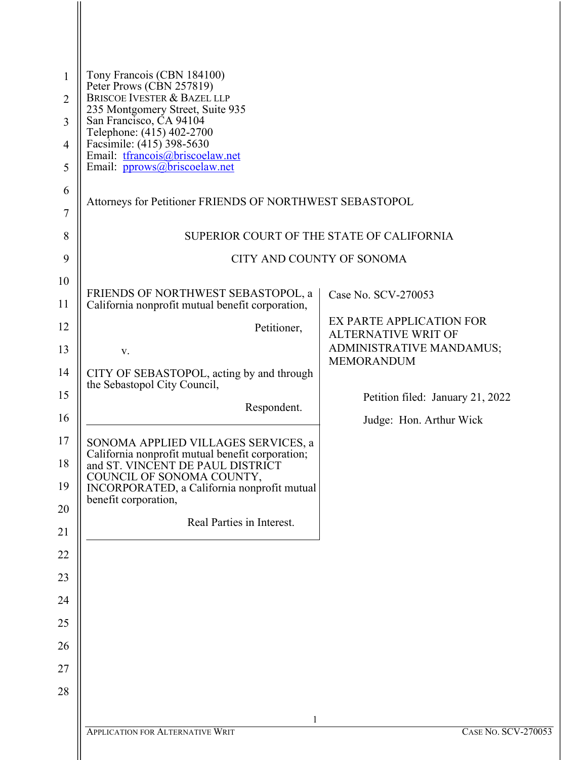| $\mathbf{1}$        | Tony Francois (CBN 184100)<br>Peter Prows (CBN 257819)<br><b>BRISCOE IVESTER &amp; BAZEL LLP</b>                            |                                                        |  |
|---------------------|-----------------------------------------------------------------------------------------------------------------------------|--------------------------------------------------------|--|
| $\overline{2}$<br>3 | 235 Montgomery Street, Suite 935<br>San Francisco, CA 94104                                                                 |                                                        |  |
| $\overline{4}$      | Telephone: (415) 402-2700<br>Facsimile: (415) 398-5630                                                                      |                                                        |  |
| 5                   | Email: tfrancois@briscoelaw.net<br>Email: pprows@briscoelaw.net                                                             |                                                        |  |
| 6                   | Attorneys for Petitioner FRIENDS OF NORTHWEST SEBASTOPOL                                                                    |                                                        |  |
| 7                   |                                                                                                                             |                                                        |  |
| 8                   | SUPERIOR COURT OF THE STATE OF CALIFORNIA                                                                                   |                                                        |  |
| 9                   | CITY AND COUNTY OF SONOMA                                                                                                   |                                                        |  |
| 10<br>11            | FRIENDS OF NORTHWEST SEBASTOPOL, a<br>California nonprofit mutual benefit corporation,                                      | Case No. SCV-270053                                    |  |
| 12                  | Petitioner,                                                                                                                 | EX PARTE APPLICATION FOR                               |  |
| 13                  | V.                                                                                                                          | <b>ALTERNATIVE WRIT OF</b><br>ADMINISTRATIVE MANDAMUS; |  |
| 14                  | CITY OF SEBASTOPOL, acting by and through                                                                                   | <b>MEMORANDUM</b>                                      |  |
| 15                  | the Sebastopol City Council,                                                                                                | Petition filed: January 21, 2022                       |  |
| 16                  | Respondent.                                                                                                                 | Judge: Hon. Arthur Wick                                |  |
| 17<br>18            | SONOMA APPLIED VILLAGES SERVICES, a<br>California nonprofit mutual benefit corporation;<br>and ST. VINCENT DE PAUL DISTRICT |                                                        |  |
| 19                  | COUNCIL OF SONOMA COUNTY,                                                                                                   |                                                        |  |
| 20                  | INCORPORATED, a California nonprofit mutual<br>benefit corporation,                                                         |                                                        |  |
| 21                  | Real Parties in Interest.                                                                                                   |                                                        |  |
| 22                  |                                                                                                                             |                                                        |  |
| 23                  |                                                                                                                             |                                                        |  |
| 24                  |                                                                                                                             |                                                        |  |
| 25                  |                                                                                                                             |                                                        |  |
| 26                  |                                                                                                                             |                                                        |  |
| 27                  |                                                                                                                             |                                                        |  |
| 28                  |                                                                                                                             |                                                        |  |
|                     |                                                                                                                             |                                                        |  |
|                     | 1<br><b>APPLICATION FOR ALTERNATIVE WRIT</b>                                                                                | CASE No. SCV-2                                         |  |

 $\parallel$ 

 $\parallel$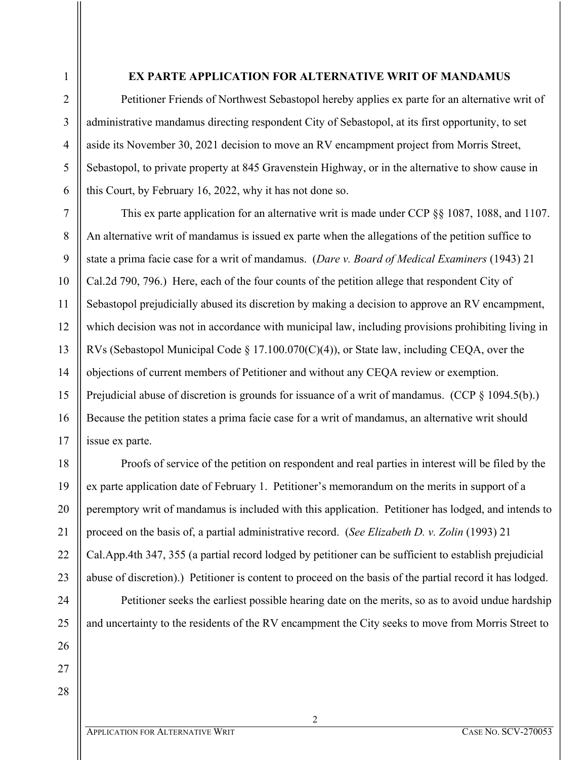6

7

8

9

10

11

12

13

14

15

16

17

18

19

20

21

22

23

#### **EX PARTE APPLICATION FOR ALTERNATIVE WRIT OF MANDAMUS**

Petitioner Friends of Northwest Sebastopol hereby applies ex parte for an alternative writ of administrative mandamus directing respondent City of Sebastopol, at its first opportunity, to set aside its November 30, 2021 decision to move an RV encampment project from Morris Street, Sebastopol, to private property at 845 Gravenstein Highway, or in the alternative to show cause in this Court, by February 16, 2022, why it has not done so.

This ex parte application for an alternative writ is made under CCP §§ 1087, 1088, and 1107. An alternative writ of mandamus is issued ex parte when the allegations of the petition suffice to state a prima facie case for a writ of mandamus. (*Dare v. Board of Medical Examiners* (1943) 21 Cal.2d 790, 796.) Here, each of the four counts of the petition allege that respondent City of Sebastopol prejudicially abused its discretion by making a decision to approve an RV encampment, which decision was not in accordance with municipal law, including provisions prohibiting living in RVs (Sebastopol Municipal Code  $\S 17.100.070(C)(4)$ ), or State law, including CEQA, over the objections of current members of Petitioner and without any CEQA review or exemption. Prejudicial abuse of discretion is grounds for issuance of a writ of mandamus. (CCP § 1094.5(b).) Because the petition states a prima facie case for a writ of mandamus, an alternative writ should issue ex parte.

Proofs of service of the petition on respondent and real parties in interest will be filed by the ex parte application date of February 1. Petitioner's memorandum on the merits in support of a peremptory writ of mandamus is included with this application. Petitioner has lodged, and intends to proceed on the basis of, a partial administrative record. (*See Elizabeth D. v. Zolin* (1993) 21 Cal.App.4th 347, 355 (a partial record lodged by petitioner can be sufficient to establish prejudicial abuse of discretion).) Petitioner is content to proceed on the basis of the partial record it has lodged.

Petitioner seeks the earliest possible hearing date on the merits, so as to avoid undue hardship and uncertainty to the residents of the RV encampment the City seeks to move from Morris Street to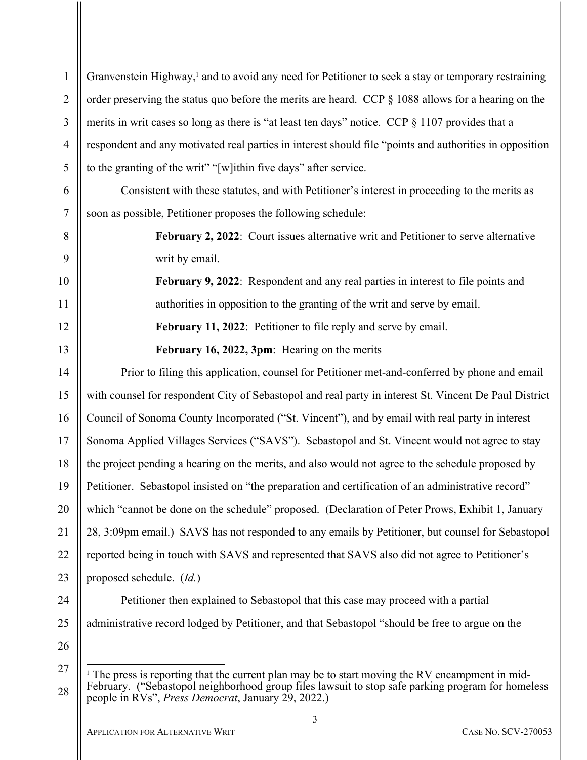| $\mathbf{1}$   | Granvenstein Highway, <sup>1</sup> and to avoid any need for Petitioner to seek a stay or temporary restraining                                         |
|----------------|---------------------------------------------------------------------------------------------------------------------------------------------------------|
| $\overline{2}$ | order preserving the status quo before the merits are heard. CCP $\S$ 1088 allows for a hearing on the                                                  |
| 3              | merits in writ cases so long as there is "at least ten days" notice. CCP § 1107 provides that a                                                         |
| $\overline{4}$ | respondent and any motivated real parties in interest should file "points and authorities in opposition                                                 |
| 5              | to the granting of the writ" "[w]ithin five days" after service.                                                                                        |
| 6              | Consistent with these statutes, and with Petitioner's interest in proceeding to the merits as                                                           |
| 7              | soon as possible, Petitioner proposes the following schedule:                                                                                           |
| 8              | February 2, 2022: Court issues alternative writ and Petitioner to serve alternative                                                                     |
| 9              | writ by email.                                                                                                                                          |
| 10             | February 9, 2022: Respondent and any real parties in interest to file points and                                                                        |
| 11             | authorities in opposition to the granting of the writ and serve by email.                                                                               |
| 12             | February 11, 2022: Petitioner to file reply and serve by email.                                                                                         |
| 13             | February 16, 2022, 3pm: Hearing on the merits                                                                                                           |
| 14             | Prior to filing this application, counsel for Petitioner met-and-conferred by phone and email                                                           |
| 15             | with counsel for respondent City of Sebastopol and real party in interest St. Vincent De Paul District                                                  |
| 16             | Council of Sonoma County Incorporated ("St. Vincent"), and by email with real party in interest                                                         |
| 17             | Sonoma Applied Villages Services ("SAVS"). Sebastopol and St. Vincent would not agree to stay                                                           |
| 18             | the project pending a hearing on the merits, and also would not agree to the schedule proposed by                                                       |
| 19             | Petitioner. Sebastopol insisted on "the preparation and certification of an administrative record"                                                      |
| 20             | which "cannot be done on the schedule" proposed. (Declaration of Peter Prows, Exhibit 1, January                                                        |
| 21             | 28, 3:09pm email.) SAVS has not responded to any emails by Petitioner, but counsel for Sebastopol                                                       |
| 22             | reported being in touch with SAVS and represented that SAVS also did not agree to Petitioner's                                                          |
| 23             | proposed schedule. (Id.)                                                                                                                                |
| 24             | Petitioner then explained to Sebastopol that this case may proceed with a partial                                                                       |
| 25             | administrative record lodged by Petitioner, and that Sebastopol "should be free to argue on the                                                         |
| 26             |                                                                                                                                                         |
| 27             | <sup>1</sup> The press is reporting that the current plan may be to start moving the RV encampment in mid-                                              |
| 28             | February. ("Sebastopol neighborhood group files lawsuit to stop safe parking program for homeless<br>people in RVs", Press Democrat, January 29, 2022.) |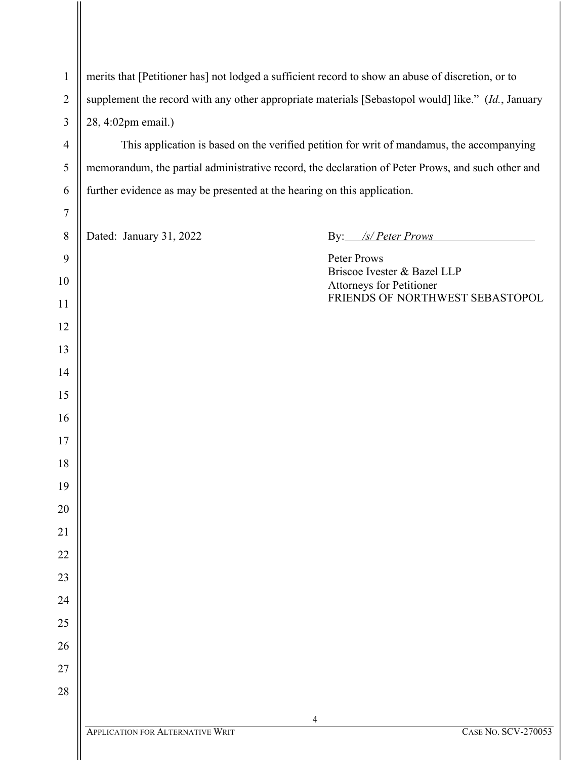| $\mathbf{1}$     | merits that [Petitioner has] not lodged a sufficient record to show an abuse of discretion, or to  |                                                                                                   |  |
|------------------|----------------------------------------------------------------------------------------------------|---------------------------------------------------------------------------------------------------|--|
| $\overline{2}$   | supplement the record with any other appropriate materials [Sebastopol would] like." (Id., January |                                                                                                   |  |
| 3                | 28, 4:02pm email.)                                                                                 |                                                                                                   |  |
| $\overline{4}$   |                                                                                                    | This application is based on the verified petition for writ of mandamus, the accompanying         |  |
| 5                |                                                                                                    | memorandum, the partial administrative record, the declaration of Peter Prows, and such other and |  |
| 6                | further evidence as may be presented at the hearing on this application.                           |                                                                                                   |  |
| $\boldsymbol{7}$ |                                                                                                    |                                                                                                   |  |
| $8\,$            | Dated: January 31, 2022                                                                            | By: /s/ Peter Prows                                                                               |  |
| 9                |                                                                                                    | Peter Prows<br>Briscoe Ivester & Bazel LLP                                                        |  |
| 10               |                                                                                                    | <b>Attorneys for Petitioner</b>                                                                   |  |
| 11               |                                                                                                    | FRIENDS OF NORTHWEST SEBASTOPOL                                                                   |  |
| 12               |                                                                                                    |                                                                                                   |  |
| 13               |                                                                                                    |                                                                                                   |  |
| 14               |                                                                                                    |                                                                                                   |  |
| 15               |                                                                                                    |                                                                                                   |  |
| 16               |                                                                                                    |                                                                                                   |  |
| 17               |                                                                                                    |                                                                                                   |  |
| 18               |                                                                                                    |                                                                                                   |  |
| 19               |                                                                                                    |                                                                                                   |  |
| 20               |                                                                                                    |                                                                                                   |  |
| 21<br>22         |                                                                                                    |                                                                                                   |  |
| 23               |                                                                                                    |                                                                                                   |  |
| 24               |                                                                                                    |                                                                                                   |  |
| 25               |                                                                                                    |                                                                                                   |  |
| 26               |                                                                                                    |                                                                                                   |  |
| 27               |                                                                                                    |                                                                                                   |  |
| 28               |                                                                                                    |                                                                                                   |  |
|                  |                                                                                                    |                                                                                                   |  |
|                  | <b>APPLICATION FOR ALTERNATIVE WRIT</b>                                                            | 4<br><b>CASE NO. SCV-270053</b>                                                                   |  |
|                  |                                                                                                    |                                                                                                   |  |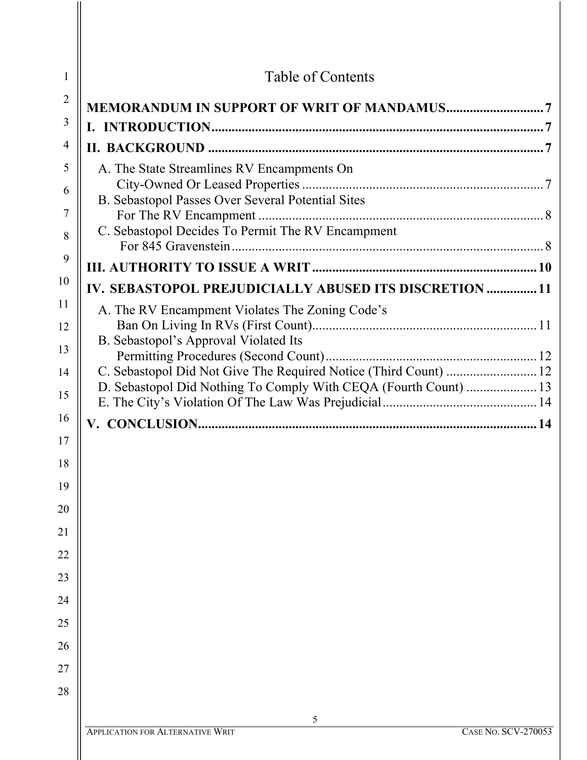| 1              | Table of Contents                                                     |
|----------------|-----------------------------------------------------------------------|
| $\overline{2}$ |                                                                       |
| 3              |                                                                       |
| 4              |                                                                       |
| 5              | A. The State Streamlines RV Encampments On                            |
| 6              | B. Sebastopol Passes Over Several Potential Sites                     |
| 7              |                                                                       |
| 8              | C. Sebastopol Decides To Permit The RV Encampment                     |
| 9              |                                                                       |
| 10             | IV. SEBASTOPOL PREJUDICIALLY ABUSED ITS DISCRETION  11                |
| 11             | A. The RV Encampment Violates The Zoning Code's                       |
| 12             | B. Sebastopol's Approval Violated Its                                 |
| 13             |                                                                       |
| 14             |                                                                       |
| 15             | D. Sebastopol Did Nothing To Comply With CEQA (Fourth Count)  13      |
| 16             |                                                                       |
| 17             |                                                                       |
| 18             |                                                                       |
| 19             |                                                                       |
| 20             |                                                                       |
| 21             |                                                                       |
| 22             |                                                                       |
| 23             |                                                                       |
| 24             |                                                                       |
| 25             |                                                                       |
| 26             |                                                                       |
| 27             |                                                                       |
| 28             |                                                                       |
|                | 5                                                                     |
|                | <b>CASE No. SCV-270053</b><br><b>APPLICATION FOR ALTERNATIVE WRIT</b> |
|                |                                                                       |

 $\mathop{\rm II}\nolimits$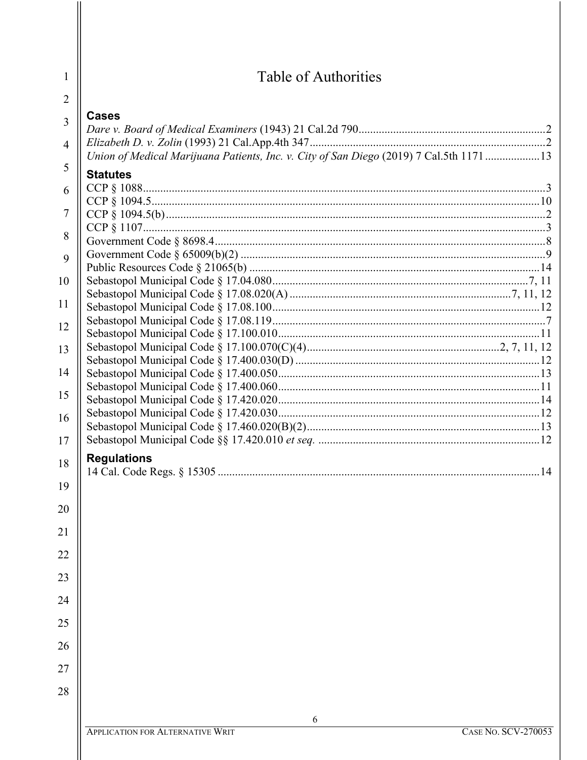| Table of Authorities                                                                    |  |
|-----------------------------------------------------------------------------------------|--|
|                                                                                         |  |
| <b>Cases</b>                                                                            |  |
|                                                                                         |  |
| Union of Medical Marijuana Patients, Inc. v. City of San Diego (2019) 7 Cal.5th 1171 13 |  |
| <b>Statutes</b>                                                                         |  |
|                                                                                         |  |
|                                                                                         |  |
|                                                                                         |  |
|                                                                                         |  |
|                                                                                         |  |
|                                                                                         |  |
|                                                                                         |  |
|                                                                                         |  |
|                                                                                         |  |
|                                                                                         |  |
|                                                                                         |  |
|                                                                                         |  |
|                                                                                         |  |
|                                                                                         |  |
|                                                                                         |  |
|                                                                                         |  |
|                                                                                         |  |
|                                                                                         |  |
|                                                                                         |  |
| <b>Regulations</b>                                                                      |  |
|                                                                                         |  |
|                                                                                         |  |
|                                                                                         |  |
|                                                                                         |  |
|                                                                                         |  |
|                                                                                         |  |
|                                                                                         |  |
|                                                                                         |  |
|                                                                                         |  |
|                                                                                         |  |
|                                                                                         |  |
|                                                                                         |  |
|                                                                                         |  |
|                                                                                         |  |
| 6                                                                                       |  |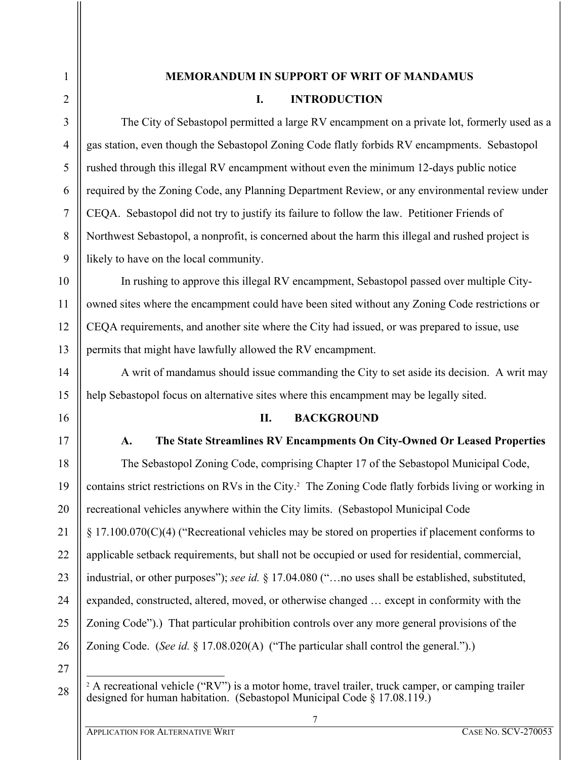### **MEMORANDUM IN SUPPORT OF WRIT OF MANDAMUS**

### **I. INTRODUCTION**

The City of Sebastopol permitted a large RV encampment on a private lot, formerly used as a gas station, even though the Sebastopol Zoning Code flatly forbids RV encampments. Sebastopol rushed through this illegal RV encampment without even the minimum 12-days public notice required by the Zoning Code, any Planning Department Review, or any environmental review under CEQA. Sebastopol did not try to justify its failure to follow the law. Petitioner Friends of Northwest Sebastopol, a nonprofit, is concerned about the harm this illegal and rushed project is likely to have on the local community.

In rushing to approve this illegal RV encampment, Sebastopol passed over multiple Cityowned sites where the encampment could have been sited without any Zoning Code restrictions or CEQA requirements, and another site where the City had issued, or was prepared to issue, use permits that might have lawfully allowed the RV encampment.

A writ of mandamus should issue commanding the City to set aside its decision. A writ may help Sebastopol focus on alternative sites where this encampment may be legally sited.

### **II. BACKGROUND**

### **A. The State Streamlines RV Encampments On City-Owned Or Leased Properties**

The Sebastopol Zoning Code, comprising Chapter 17 of the Sebastopol Municipal Code, contains strict restrictions on RVs in the City.<sup>2</sup> The Zoning Code flatly forbids living or working in recreational vehicles anywhere within the City limits. (Sebastopol Municipal Code § 17.100.070(C)(4) ("Recreational vehicles may be stored on properties if placement conforms to applicable setback requirements, but shall not be occupied or used for residential, commercial, industrial, or other purposes"); *see id.* § 17.04.080 ("…no uses shall be established, substituted, expanded, constructed, altered, moved, or otherwise changed … except in conformity with the Zoning Code").) That particular prohibition controls over any more general provisions of the Zoning Code. (*See id.* § 17.08.020(A) ("The particular shall control the general.").)

 $2 A$  recreational vehicle ("RV") is a motor home, travel trailer, truck camper, or camping trailer designed for human habitation. (Sebastopol Municipal Code § 17.08.119.)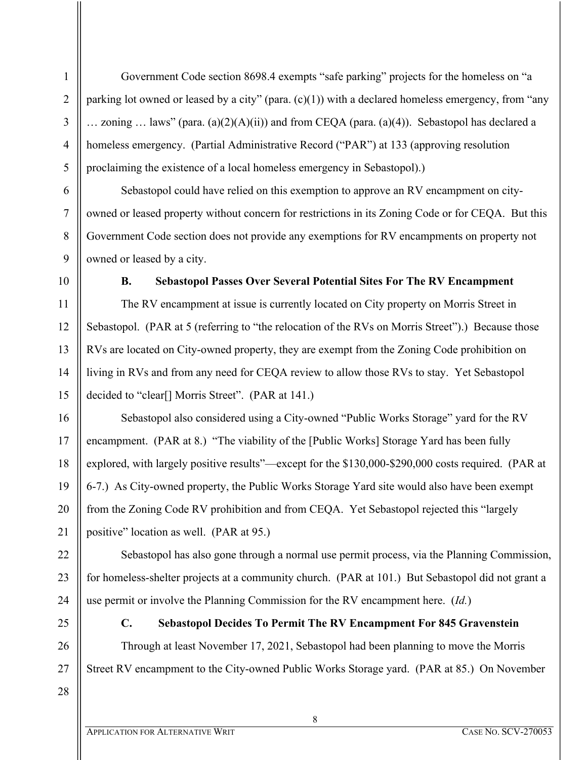Government Code section 8698.4 exempts "safe parking" projects for the homeless on "a parking lot owned or leased by a city" (para. (c)(1)) with a declared homeless emergency, from "any  $\ldots$  zoning  $\ldots$  laws" (para. (a)(2)(A)(ii)) and from CEQA (para. (a)(4)). Sebastopol has declared a homeless emergency. (Partial Administrative Record ("PAR") at 133 (approving resolution proclaiming the existence of a local homeless emergency in Sebastopol).)

Sebastopol could have relied on this exemption to approve an RV encampment on cityowned or leased property without concern for restrictions in its Zoning Code or for CEQA. But this Government Code section does not provide any exemptions for RV encampments on property not owned or leased by a city.

### **B. Sebastopol Passes Over Several Potential Sites For The RV Encampment**

The RV encampment at issue is currently located on City property on Morris Street in Sebastopol. (PAR at 5 (referring to "the relocation of the RVs on Morris Street").) Because those RVs are located on City-owned property, they are exempt from the Zoning Code prohibition on living in RVs and from any need for CEQA review to allow those RVs to stay. Yet Sebastopol decided to "clear[] Morris Street". (PAR at 141.)

Sebastopol also considered using a City-owned "Public Works Storage" yard for the RV encampment. (PAR at 8.) "The viability of the [Public Works] Storage Yard has been fully explored, with largely positive results"—except for the \$130,000-\$290,000 costs required. (PAR at 6-7.) As City-owned property, the Public Works Storage Yard site would also have been exempt from the Zoning Code RV prohibition and from CEQA. Yet Sebastopol rejected this "largely positive" location as well. (PAR at 95.)

Sebastopol has also gone through a normal use permit process, via the Planning Commission, for homeless-shelter projects at a community church. (PAR at 101.) But Sebastopol did not grant a use permit or involve the Planning Commission for the RV encampment here. (*Id.*)

# **C. Sebastopol Decides To Permit The RV Encampment For 845 Gravenstein**

Through at least November 17, 2021, Sebastopol had been planning to move the Morris Street RV encampment to the City-owned Public Works Storage yard. (PAR at 85.) On November

8

28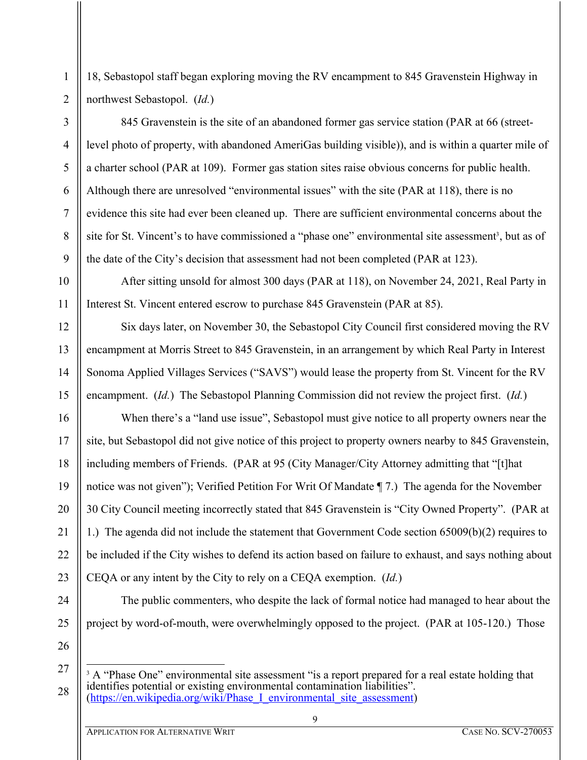18, Sebastopol staff began exploring moving the RV encampment to 845 Gravenstein Highway in northwest Sebastopol. (*Id.*)

845 Gravenstein is the site of an abandoned former gas service station (PAR at 66 (streetlevel photo of property, with abandoned AmeriGas building visible)), and is within a quarter mile of a charter school (PAR at 109). Former gas station sites raise obvious concerns for public health. Although there are unresolved "environmental issues" with the site (PAR at 118), there is no evidence this site had ever been cleaned up. There are sufficient environmental concerns about the site for St. Vincent's to have commissioned a "phase one" environmental site assessment<sup>3</sup>, but as of the date of the City's decision that assessment had not been completed (PAR at 123).

After sitting unsold for almost 300 days (PAR at 118), on November 24, 2021, Real Party in Interest St. Vincent entered escrow to purchase 845 Gravenstein (PAR at 85).

Six days later, on November 30, the Sebastopol City Council first considered moving the RV encampment at Morris Street to 845 Gravenstein, in an arrangement by which Real Party in Interest Sonoma Applied Villages Services ("SAVS") would lease the property from St. Vincent for the RV encampment. (*Id.*) The Sebastopol Planning Commission did not review the project first. (*Id.*)

When there's a "land use issue", Sebastopol must give notice to all property owners near the site, but Sebastopol did not give notice of this project to property owners nearby to 845 Gravenstein, including members of Friends. (PAR at 95 (City Manager/City Attorney admitting that "[t]hat notice was not given"); Verified Petition For Writ Of Mandate ¶ 7.) The agenda for the November 30 City Council meeting incorrectly stated that 845 Gravenstein is "City Owned Property". (PAR at 1.) The agenda did not include the statement that Government Code section 65009(b)(2) requires to be included if the City wishes to defend its action based on failure to exhaust, and says nothing about CEQA or any intent by the City to rely on a CEQA exemption. (*Id.*)

24 25

26

1

2

3

4

5

6

7

8

9

10

project by word-of-mouth, were overwhelmingly opposed to the project. (PAR at 105-120.) Those

The public commenters, who despite the lack of formal notice had managed to hear about the

<sup>&</sup>lt;sup>3</sup> A "Phase One" environmental site assessment "is a report prepared for a real estate holding that identifies potential or existing environmental contamination liabilities". (https://en.wikipedia.org/wiki/Phase I environmental site assessment)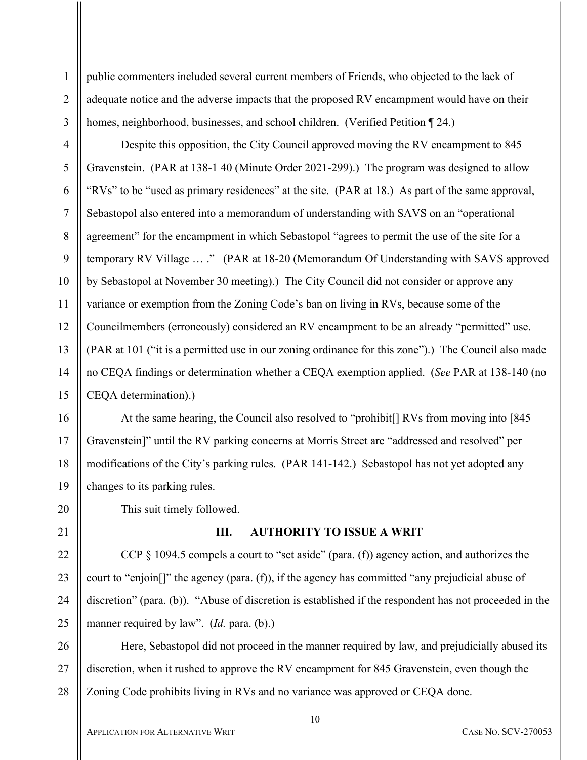public commenters included several current members of Friends, who objected to the lack of adequate notice and the adverse impacts that the proposed RV encampment would have on their homes, neighborhood, businesses, and school children. (Verified Petition ¶ 24.)

Despite this opposition, the City Council approved moving the RV encampment to 845 Gravenstein. (PAR at 138-1 40 (Minute Order 2021-299).) The program was designed to allow "RVs" to be "used as primary residences" at the site. (PAR at 18.) As part of the same approval, Sebastopol also entered into a memorandum of understanding with SAVS on an "operational agreement" for the encampment in which Sebastopol "agrees to permit the use of the site for a temporary RV Village … ." (PAR at 18-20 (Memorandum Of Understanding with SAVS approved by Sebastopol at November 30 meeting).) The City Council did not consider or approve any variance or exemption from the Zoning Code's ban on living in RVs, because some of the Councilmembers (erroneously) considered an RV encampment to be an already "permitted" use. (PAR at 101 ("it is a permitted use in our zoning ordinance for this zone").) The Council also made no CEQA findings or determination whether a CEQA exemption applied. (*See* PAR at 138-140 (no CEQA determination).)

At the same hearing, the Council also resolved to "prohibit[] RVs from moving into [845 Gravenstein]" until the RV parking concerns at Morris Street are "addressed and resolved" per modifications of the City's parking rules. (PAR 141-142.) Sebastopol has not yet adopted any changes to its parking rules.

This suit timely followed.

# **III. AUTHORITY TO ISSUE A WRIT**

CCP  $\S$  1094.5 compels a court to "set aside" (para. (f)) agency action, and authorizes the court to "enjoin[]" the agency (para. (f)), if the agency has committed "any prejudicial abuse of discretion" (para. (b)). "Abuse of discretion is established if the respondent has not proceeded in the manner required by law". *(Id. para. (b).)* 

Here, Sebastopol did not proceed in the manner required by law, and prejudicially abused its discretion, when it rushed to approve the RV encampment for 845 Gravenstein, even though the Zoning Code prohibits living in RVs and no variance was approved or CEQA done.

10

1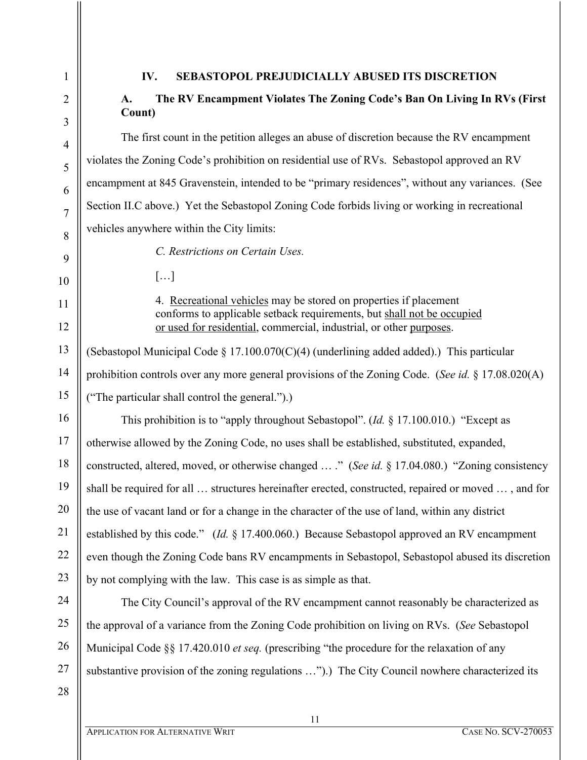## **IV. SEBASTOPOL PREJUDICIALLY ABUSED ITS DISCRETION**

## **A. The RV Encampment Violates The Zoning Code's Ban On Living In RVs (First Count)**

The first count in the petition alleges an abuse of discretion because the RV encampment violates the Zoning Code's prohibition on residential use of RVs. Sebastopol approved an RV encampment at 845 Gravenstein, intended to be "primary residences", without any variances. (See Section II.C above.) Yet the Sebastopol Zoning Code forbids living or working in recreational vehicles anywhere within the City limits:

*C. Restrictions on Certain Uses.*

 $\lceil$ ...]

4. Recreational vehicles may be stored on properties if placement conforms to applicable setback requirements, but shall not be occupied or used for residential, commercial, industrial, or other purposes.

(Sebastopol Municipal Code § 17.100.070 $(C)(4)$  (underlining added added).) This particular prohibition controls over any more general provisions of the Zoning Code. (*See id.* § 17.08.020(A) ("The particular shall control the general.").)

16 17 18 19 20 21 22 23 This prohibition is to "apply throughout Sebastopol". (*Id.* § 17.100.010.) "Except as otherwise allowed by the Zoning Code, no uses shall be established, substituted, expanded, constructed, altered, moved, or otherwise changed … ." (*See id.* § 17.04.080.) "Zoning consistency shall be required for all … structures hereinafter erected, constructed, repaired or moved … , and for the use of vacant land or for a change in the character of the use of land, within any district established by this code." (*Id.* § 17.400.060.) Because Sebastopol approved an RV encampment even though the Zoning Code bans RV encampments in Sebastopol, Sebastopol abused its discretion by not complying with the law. This case is as simple as that.

The City Council's approval of the RV encampment cannot reasonably be characterized as the approval of a variance from the Zoning Code prohibition on living on RVs. (*See* Sebastopol Municipal Code §§ 17.420.010 *et seq.* (prescribing "the procedure for the relaxation of any substantive provision of the zoning regulations …").) The City Council nowhere characterized its

28

27

24

25

26

1

2

3

4

5

6

7

8

9

10

11

12

13

14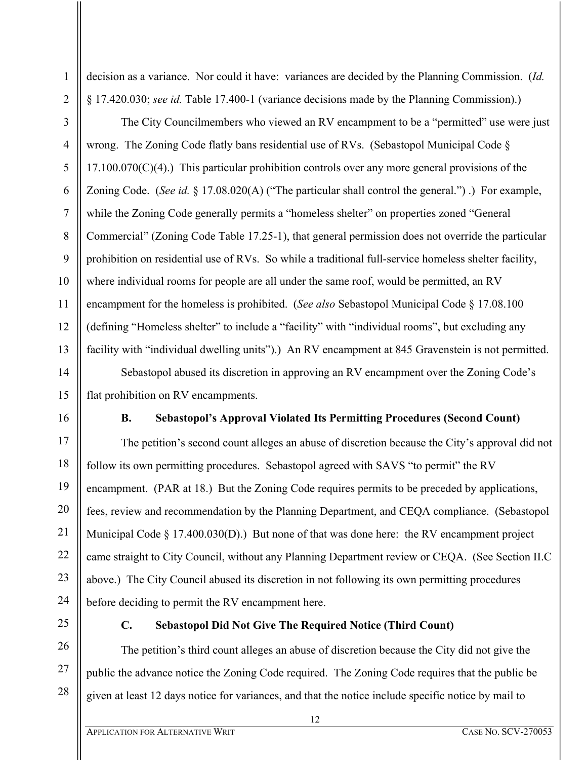1

decision as a variance. Nor could it have: variances are decided by the Planning Commission. (*Id.* § 17.420.030; *see id.* Table 17.400-1 (variance decisions made by the Planning Commission).)

The City Councilmembers who viewed an RV encampment to be a "permitted" use were just wrong. The Zoning Code flatly bans residential use of RVs. (Sebastopol Municipal Code §  $17.100.070(C)(4)$ .) This particular prohibition controls over any more general provisions of the Zoning Code. (*See id.* § 17.08.020(A) ("The particular shall control the general.") .) For example, while the Zoning Code generally permits a "homeless shelter" on properties zoned "General Commercial" (Zoning Code Table 17.25-1), that general permission does not override the particular prohibition on residential use of RVs. So while a traditional full-service homeless shelter facility, where individual rooms for people are all under the same roof, would be permitted, an RV encampment for the homeless is prohibited. (*See also* Sebastopol Municipal Code § 17.08.100 (defining "Homeless shelter" to include a "facility" with "individual rooms", but excluding any facility with "individual dwelling units").) An RV encampment at 845 Gravenstein is not permitted.

Sebastopol abused its discretion in approving an RV encampment over the Zoning Code's flat prohibition on RV encampments.

## **B. Sebastopol's Approval Violated Its Permitting Procedures (Second Count)**

The petition's second count alleges an abuse of discretion because the City's approval did not follow its own permitting procedures. Sebastopol agreed with SAVS "to permit" the RV encampment. (PAR at 18.) But the Zoning Code requires permits to be preceded by applications, fees, review and recommendation by the Planning Department, and CEQA compliance. (Sebastopol Municipal Code  $\S 17.400.030(D)$ .) But none of that was done here: the RV encampment project came straight to City Council, without any Planning Department review or CEQA. (See Section II.C above.) The City Council abused its discretion in not following its own permitting procedures before deciding to permit the RV encampment here.

## **C. Sebastopol Did Not Give The Required Notice (Third Count)**

The petition's third count alleges an abuse of discretion because the City did not give the public the advance notice the Zoning Code required. The Zoning Code requires that the public be given at least 12 days notice for variances, and that the notice include specific notice by mail to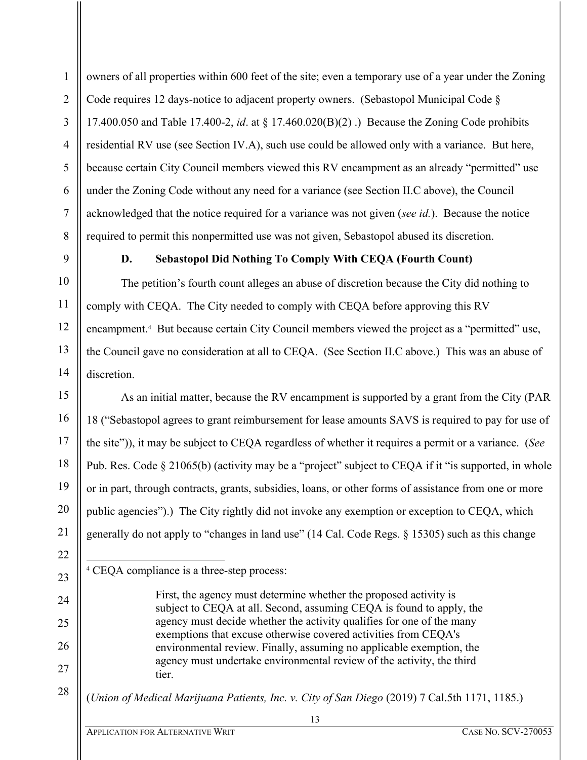owners of all properties within 600 feet of the site; even a temporary use of a year under the Zoning Code requires 12 days-notice to adjacent property owners. (Sebastopol Municipal Code § 17.400.050 and Table 17.400-2, *id*. at § 17.460.020(B)(2) .) Because the Zoning Code prohibits residential RV use (see Section IV.A), such use could be allowed only with a variance. But here, because certain City Council members viewed this RV encampment as an already "permitted" use under the Zoning Code without any need for a variance (see Section II.C above), the Council acknowledged that the notice required for a variance was not given (*see id.*). Because the notice required to permit this nonpermitted use was not given, Sebastopol abused its discretion.

1

### **D. Sebastopol Did Nothing To Comply With CEQA (Fourth Count)**

The petition's fourth count alleges an abuse of discretion because the City did nothing to comply with CEQA. The City needed to comply with CEQA before approving this RV encampment.<sup>4</sup> But because certain City Council members viewed the project as a "permitted" use, the Council gave no consideration at all to CEQA. (See Section II.C above.) This was an abuse of discretion.

As an initial matter, because the RV encampment is supported by a grant from the City (PAR 18 ("Sebastopol agrees to grant reimbursement for lease amounts SAVS is required to pay for use of the site")), it may be subject to CEQA regardless of whether it requires a permit or a variance. (*See*  Pub. Res. Code § 21065(b) (activity may be a "project" subject to CEQA if it "is supported, in whole or in part, through contracts, grants, subsidies, loans, or other forms of assistance from one or more public agencies").) The City rightly did not invoke any exemption or exception to CEQA, which generally do not apply to "changes in land use" (14 Cal. Code Regs. § 15305) such as this change

(*Union of Medical Marijuana Patients, Inc. v. City of San Diego* (2019) 7 Cal.5th 1171, 1185.)

<sup>4</sup> CEQA compliance is a three-step process:

First, the agency must determine whether the proposed activity is subject to CEQA at all. Second, assuming CEQA is found to apply, the agency must decide whether the activity qualifies for one of the many exemptions that excuse otherwise covered activities from CEQA's environmental review. Finally, assuming no applicable exemption, the agency must undertake environmental review of the activity, the third tier.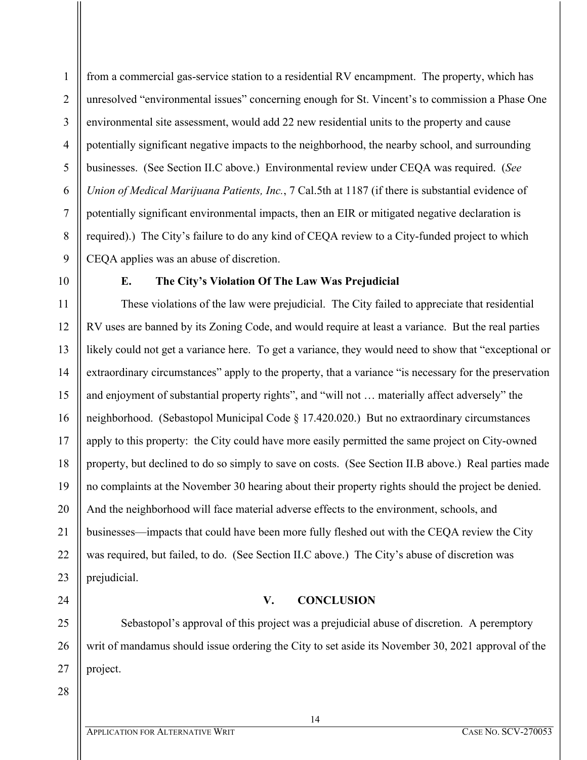2 3 4 5 6 7 8 9 from a commercial gas-service station to a residential RV encampment. The property, which has unresolved "environmental issues" concerning enough for St. Vincent's to commission a Phase One environmental site assessment, would add 22 new residential units to the property and cause potentially significant negative impacts to the neighborhood, the nearby school, and surrounding businesses. (See Section II.C above.) Environmental review under CEQA was required. (*See Union of Medical Marijuana Patients, Inc.*, 7 Cal.5th at 1187 (if there is substantial evidence of potentially significant environmental impacts, then an EIR or mitigated negative declaration is required).) The City's failure to do any kind of CEQA review to a City-funded project to which CEQA applies was an abuse of discretion.

10

11

12

18

21

22

24

25

26

27

1

### **E. The City's Violation Of The Law Was Prejudicial**

13 14 15 16 17 19 20 23 These violations of the law were prejudicial. The City failed to appreciate that residential RV uses are banned by its Zoning Code, and would require at least a variance. But the real parties likely could not get a variance here. To get a variance, they would need to show that "exceptional or extraordinary circumstances" apply to the property, that a variance "is necessary for the preservation and enjoyment of substantial property rights", and "will not … materially affect adversely" the neighborhood. (Sebastopol Municipal Code § 17.420.020.) But no extraordinary circumstances apply to this property: the City could have more easily permitted the same project on City-owned property, but declined to do so simply to save on costs. (See Section II.B above.) Real parties made no complaints at the November 30 hearing about their property rights should the project be denied. And the neighborhood will face material adverse effects to the environment, schools, and businesses—impacts that could have been more fully fleshed out with the CEQA review the City was required, but failed, to do. (See Section II.C above.) The City's abuse of discretion was prejudicial.

### **V. CONCLUSION**

Sebastopol's approval of this project was a prejudicial abuse of discretion. A peremptory writ of mandamus should issue ordering the City to set aside its November 30, 2021 approval of the project.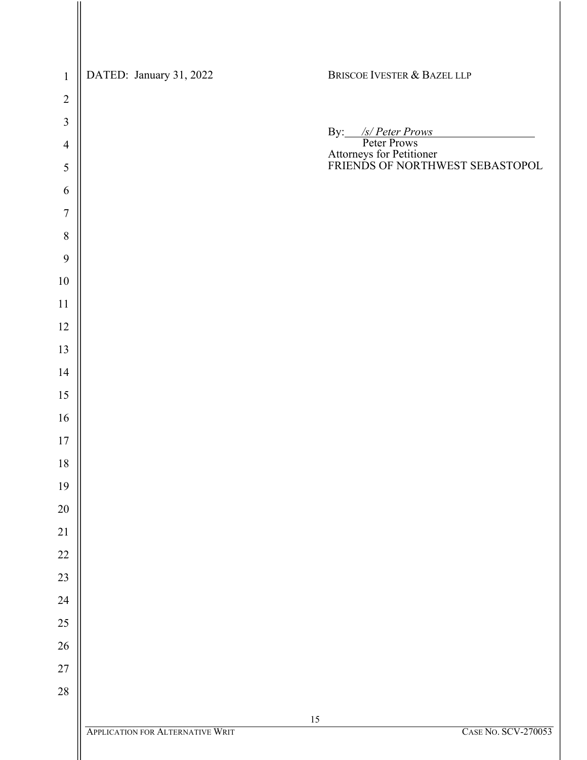| $\mathbf 1$    | DATED: January 31, 2022                 | BRISCOE IVESTER & BAZEL LLP                                                                      |
|----------------|-----------------------------------------|--------------------------------------------------------------------------------------------------|
| $\overline{2}$ |                                         |                                                                                                  |
| $\mathfrak{Z}$ |                                         |                                                                                                  |
| $\overline{4}$ |                                         | By: /s/Peter Prows<br>Peter Prows<br>Attorneys for Petitioner<br>FRIENDS OF NORTHWEST SEBASTOPOL |
| 5              |                                         |                                                                                                  |
| 6              |                                         |                                                                                                  |
| $\overline{7}$ |                                         |                                                                                                  |
| $\, 8$         |                                         |                                                                                                  |
| 9              |                                         |                                                                                                  |
| $10\,$         |                                         |                                                                                                  |
| 11             |                                         |                                                                                                  |
| 12             |                                         |                                                                                                  |
| 13             |                                         |                                                                                                  |
| 14             |                                         |                                                                                                  |
| 15             |                                         |                                                                                                  |
| 16             |                                         |                                                                                                  |
| $17$           |                                         |                                                                                                  |
| 18             |                                         |                                                                                                  |
| 19             |                                         |                                                                                                  |
| $20\,$         |                                         |                                                                                                  |
| 21             |                                         |                                                                                                  |
| $22\,$         |                                         |                                                                                                  |
| $23\,$         |                                         |                                                                                                  |
| $24\,$         |                                         |                                                                                                  |
| $25\,$         |                                         |                                                                                                  |
| $26\,$         |                                         |                                                                                                  |
| $27\,$         |                                         |                                                                                                  |
| $28\,$         |                                         |                                                                                                  |
|                |                                         | 15                                                                                               |
|                | <b>APPLICATION FOR ALTERNATIVE WRIT</b> | <b>CASE NO. SCV-270053</b>                                                                       |
|                |                                         |                                                                                                  |

 $\mathsf{II}$